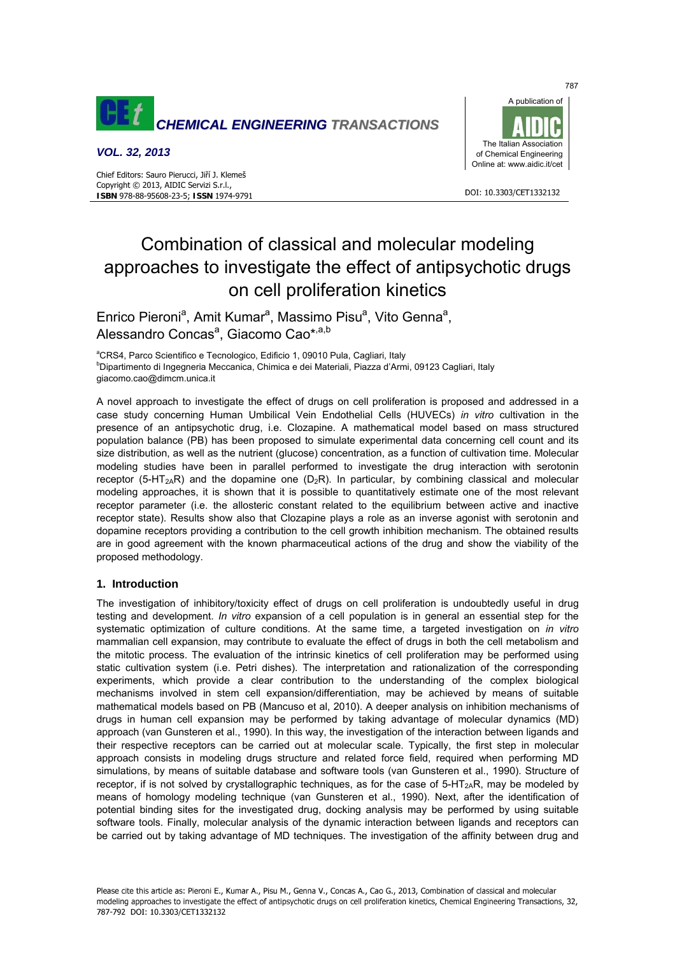

## *VOL. 32, 2013*



#### DOI: 10.3303/CFT1332132

# Combination of classical and molecular modeling approaches to investigate the effect of antipsychotic drugs on cell proliferation kinetics

Enrico Pieroni<sup>a</sup>, Amit Kumar<sup>a</sup>, Massimo Pisu<sup>a</sup>, Vito Genna<sup>a</sup>, Alessandro Concas<sup>a</sup>, Giacomo Cao\*<sup>,a,b</sup>

<sup>a</sup>CRS4, Parco Scientifico e Tecnologico, Edificio 1, 09010 Pula, Cagliari, Italy<br><sup>b</sup>Dipartimento di Ingegneria Messanice, Chimica e dei Meteriali, Piezza d'Arm Dipartimento di Ingegneria Meccanica, Chimica e dei Materiali, Piazza d'Armi, 09123 Cagliari, Italy giacomo.cao@dimcm.unica.it

A novel approach to investigate the effect of drugs on cell proliferation is proposed and addressed in a case study concerning Human Umbilical Vein Endothelial Cells (HUVECs) *in vitro* cultivation in the presence of an antipsychotic drug, i.e. Clozapine. A mathematical model based on mass structured population balance (PB) has been proposed to simulate experimental data concerning cell count and its size distribution, as well as the nutrient (glucose) concentration, as a function of cultivation time. Molecular modeling studies have been in parallel performed to investigate the drug interaction with serotonin receptor (5-HT<sub>2A</sub>R) and the dopamine one  $(D_2R)$ . In particular, by combining classical and molecular modeling approaches, it is shown that it is possible to quantitatively estimate one of the most relevant receptor parameter (i.e. the allosteric constant related to the equilibrium between active and inactive receptor state). Results show also that Clozapine plays a role as an inverse agonist with serotonin and dopamine receptors providing a contribution to the cell growth inhibition mechanism. The obtained results are in good agreement with the known pharmaceutical actions of the drug and show the viability of the proposed methodology.

## **1. Introduction**

The investigation of inhibitory/toxicity effect of drugs on cell proliferation is undoubtedly useful in drug testing and development. *In vitro* expansion of a cell population is in general an essential step for the systematic optimization of culture conditions. At the same time, a targeted investigation on *in vitro* mammalian cell expansion, may contribute to evaluate the effect of drugs in both the cell metabolism and the mitotic process. The evaluation of the intrinsic kinetics of cell proliferation may be performed using static cultivation system (i.e. Petri dishes). The interpretation and rationalization of the corresponding experiments, which provide a clear contribution to the understanding of the complex biological mechanisms involved in stem cell expansion/differentiation, may be achieved by means of suitable mathematical models based on PB (Mancuso et al, 2010). A deeper analysis on inhibition mechanisms of drugs in human cell expansion may be performed by taking advantage of molecular dynamics (MD) approach (van Gunsteren et al., 1990). In this way, the investigation of the interaction between ligands and their respective receptors can be carried out at molecular scale. Typically, the first step in molecular approach consists in modeling drugs structure and related force field, required when performing MD simulations, by means of suitable database and software tools (van Gunsteren et al., 1990). Structure of receptor, if is not solved by crystallographic techniques, as for the case of  $5-HT<sub>2</sub>R$ , may be modeled by means of homology modeling technique (van Gunsteren et al., 1990). Next, after the identification of potential binding sites for the investigated drug, docking analysis may be performed by using suitable software tools. Finally, molecular analysis of the dynamic interaction between ligands and receptors can be carried out by taking advantage of MD techniques. The investigation of the affinity between drug and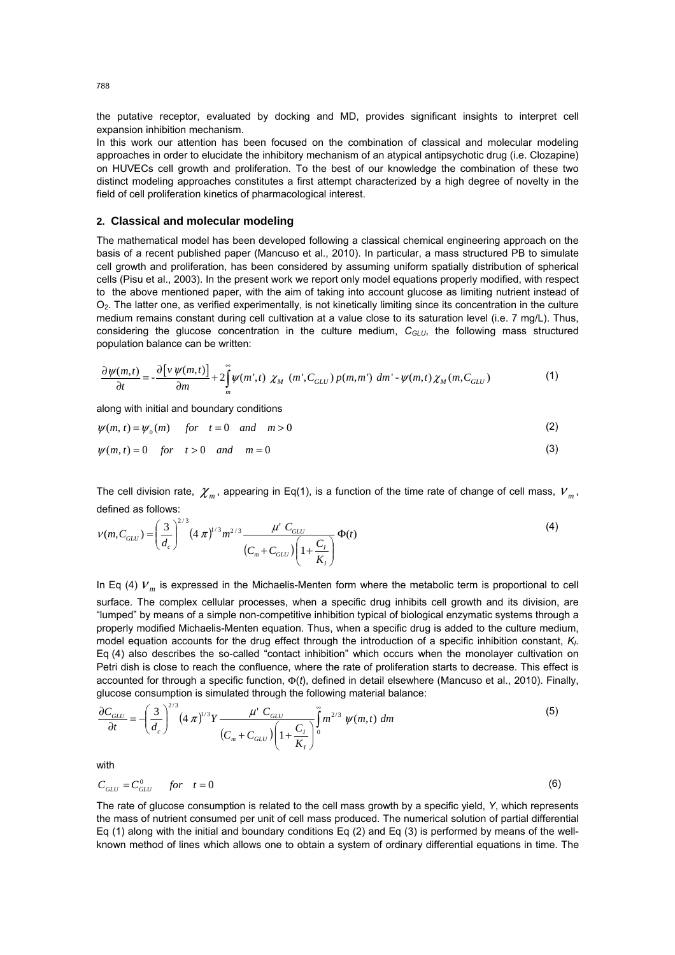the putative receptor, evaluated by docking and MD, provides significant insights to interpret cell expansion inhibition mechanism.

In this work our attention has been focused on the combination of classical and molecular modeling approaches in order to elucidate the inhibitory mechanism of an atypical antipsychotic drug (i.e. Clozapine) on HUVECs cell growth and proliferation. To the best of our knowledge the combination of these two distinct modeling approaches constitutes a first attempt characterized by a high degree of novelty in the field of cell proliferation kinetics of pharmacological interest.

#### **2. Classical and molecular modeling**

The mathematical model has been developed following a classical chemical engineering approach on the basis of a recent published paper (Mancuso et al., 2010). In particular, a mass structured PB to simulate cell growth and proliferation, has been considered by assuming uniform spatially distribution of spherical cells (Pisu et al., 2003). In the present work we report only model equations properly modified, with respect to the above mentioned paper, with the aim of taking into account glucose as limiting nutrient instead of  $O<sub>2</sub>$ . The latter one, as verified experimentally, is not kinetically limiting since its concentration in the culture medium remains constant during cell cultivation at a value close to its saturation level (i.e. 7 mg/L). Thus, considering the glucose concentration in the culture medium,  $C_{GLU}$ , the following mass structured population balance can be written:

$$
\frac{\partial \psi(m,t)}{\partial t} = -\frac{\partial \left[ \nu \, \psi(m,t) \right]}{\partial m} + 2 \int_{m}^{\infty} \psi(m',t) \, \chi_M \, \left( m', C_{GLU} \right) p(m,m') \, \, dm' - \psi(m,t) \chi_M(m, C_{GLU}) \tag{1}
$$

along with initial and boundary conditions

$$
\psi(m, t) = \psi_0(m) \quad \text{for} \quad t = 0 \quad \text{and} \quad m > 0 \tag{2}
$$

$$
\psi(m,t) = 0 \quad \text{for} \quad t > 0 \quad \text{and} \quad m = 0 \tag{3}
$$

The cell division rate,  $\chi$ <sub>*m*</sub>, appearing in Eq(1), is a function of the time rate of change of cell mass,  $V$ <sub>*m*</sub>, defined as follows:

$$
V(m, C_{GLU}) = \left(\frac{3}{d_c}\right)^{2/3} (4 \pi)^{1/3} m^{2/3} \frac{\mu^{\nu} C_{GLU}}{(C_m + C_{GLU}) \left(1 + \frac{C_I}{K_I}\right)} \Phi(t)
$$
 (4)

In Eq (4)  $V_m$  is expressed in the Michaelis-Menten form where the metabolic term is proportional to cell surface. The complex cellular processes, when a specific drug inhibits cell growth and its division, are "lumped" by means of a simple non-competitive inhibition typical of biological enzymatic systems through a properly modified Michaelis-Menten equation. Thus, when a specific drug is added to the culture medium, model equation accounts for the drug effect through the introduction of a specific inhibition constant,  $K_l$ . Eq (4) also describes the so-called "contact inhibition" which occurs when the monolayer cultivation on Petri dish is close to reach the confluence, where the rate of proliferation starts to decrease. This effect is accounted for through a specific function, Φ(*t*), defined in detail elsewhere (Mancuso et al., 2010). Finally, glucose consumption is simulated through the following material balance:

$$
\frac{\partial C_{GLU}}{\partial t} = -\left(\frac{3}{d_c}\right)^{2/3} \left(4\ \pi\right)^{1/3} Y \frac{\mu' \ C_{GLU}}{(C_m + C_{GLU}) \left(1 + \frac{C_I}{K_I}\right)^5} m^{2/3} \ \psi(m, t) \ dm
$$
\n(5)

with

$$
C_{GLU} = C_{GLU}^0 \qquad \text{for} \quad t = 0 \tag{6}
$$

The rate of glucose consumption is related to the cell mass growth by a specific yield, *Y*, which represents the mass of nutrient consumed per unit of cell mass produced. The numerical solution of partial differential Eq (1) along with the initial and boundary conditions Eq (2) and Eq (3) is performed by means of the wellknown method of lines which allows one to obtain a system of ordinary differential equations in time. The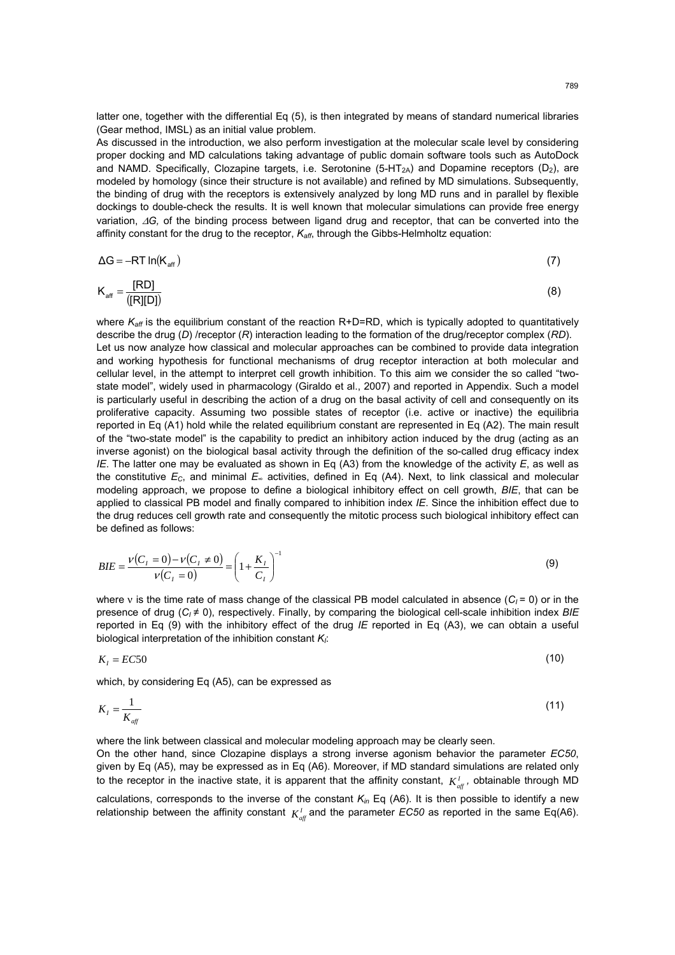latter one, together with the differential Eq (5), is then integrated by means of standard numerical libraries (Gear method, IMSL) as an initial value problem.

As discussed in the introduction, we also perform investigation at the molecular scale level by considering proper docking and MD calculations taking advantage of public domain software tools such as AutoDock and NAMD. Specifically, Clozapine targets, i.e. Serotonine (5-HT<sub>2A</sub>) and Dopamine receptors ( $D_2$ ), are modeled by homology (since their structure is not available) and refined by MD simulations. Subsequently, the binding of drug with the receptors is extensively analyzed by long MD runs and in parallel by flexible dockings to double-check the results. It is well known that molecular simulations can provide free energy variation, Δ*G,* of the binding process between ligand drug and receptor, that can be converted into the affinity constant for the drug to the receptor,  $K_{\text{aff}}$ , through the Gibbs-Helmholtz equation:

$$
\Delta G = -RT \ln(K_{\text{aff}}) \tag{7}
$$

$$
K_{\text{aff}} = \frac{[RD]}{([R][D])}
$$
\n(8)

where  $K_{\text{aff}}$  is the equilibrium constant of the reaction R+D=RD, which is typically adopted to quantitatively describe the drug (*D*) /receptor (*R*) interaction leading to the formation of the drug/receptor complex (*RD*). Let us now analyze how classical and molecular approaches can be combined to provide data integration and working hypothesis for functional mechanisms of drug receptor interaction at both molecular and cellular level, in the attempt to interpret cell growth inhibition. To this aim we consider the so called "twostate model", widely used in pharmacology (Giraldo et al., 2007) and reported in Appendix. Such a model is particularly useful in describing the action of a drug on the basal activity of cell and consequently on its proliferative capacity. Assuming two possible states of receptor (i.e. active or inactive) the equilibria reported in Eq (A1) hold while the related equilibrium constant are represented in Eq (A2). The main result of the "two-state model" is the capability to predict an inhibitory action induced by the drug (acting as an inverse agonist) on the biological basal activity through the definition of the so-called drug efficacy index *IE*. The latter one may be evaluated as shown in Eq (A3) from the knowledge of the activity *E*, as well as the constitutive *EC*, and minimal *E∞* activities, defined in Eq (A4). Next, to link classical and molecular modeling approach, we propose to define a biological inhibitory effect on cell growth, *BIE*, that can be applied to classical PB model and finally compared to inhibition index *IE*. Since the inhibition effect due to the drug reduces cell growth rate and consequently the mitotic process such biological inhibitory effect can be defined as follows:

$$
BIE = \frac{\nu(C_I = 0) - \nu(C_I \neq 0)}{\nu(C_I = 0)} = \left(1 + \frac{K_I}{C_I}\right)^{-1}
$$
\n(9)

where *ν* is the time rate of mass change of the classical PB model calculated in absence (*C<sub>I</sub>* = 0) or in the presence of drug (*CI* ≠ 0), respectively. Finally, by comparing the biological cell-scale inhibition index *BIE* reported in Eq (9) with the inhibitory effect of the drug *IE* reported in Eq (A3), we can obtain a useful biological interpretation of the inhibition constant  $K_I$ :

$$
K_t = EC50\tag{10}
$$

which, by considering Eq (A5), can be expressed as

$$
K_{I} = \frac{1}{K_{\text{aff}}} \tag{11}
$$

where the link between classical and molecular modeling approach may be clearly seen.

On the other hand, since Clozapine displays a strong inverse agonism behavior the parameter *EC50*, given by Eq (A5), may be expressed as in Eq (A6). Moreover, if MD standard simulations are related only to the receptor in the inactive state, it is apparent that the affinity constant,  $K_{\text{aff}}^I$ , obtainable through MD

calculations, corresponds to the inverse of the constant *Kin* Eq (A6). It is then possible to identify a new relationship between the affinity constant  $K_{\text{aff}}^I$  and the parameter *EC50* as reported in the same Eq(A6).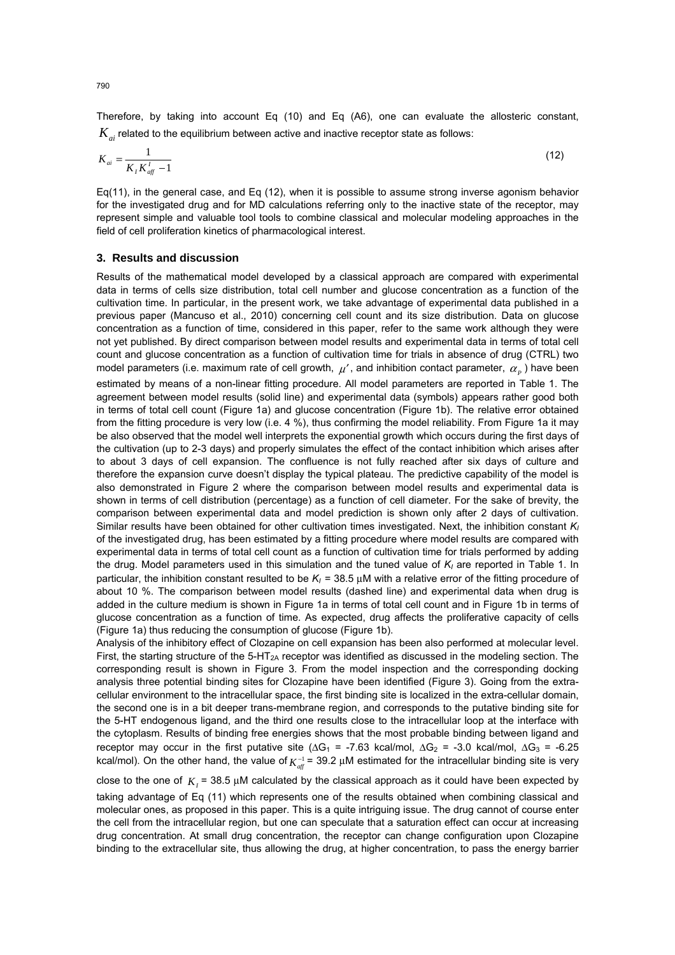Therefore, by taking into account Eq (10) and Eq (A6), one can evaluate the allosteric constant,  $K_a$  related to the equilibrium between active and inactive receptor state as follows:

$$
K_{ai} = \frac{1}{K_I K_{aff}^I - 1} \tag{12}
$$

Eq(11), in the general case, and Eq (12), when it is possible to assume strong inverse agonism behavior for the investigated drug and for MD calculations referring only to the inactive state of the receptor, may represent simple and valuable tool tools to combine classical and molecular modeling approaches in the field of cell proliferation kinetics of pharmacological interest.

## **3. Results and discussion**

Results of the mathematical model developed by a classical approach are compared with experimental data in terms of cells size distribution, total cell number and glucose concentration as a function of the cultivation time. In particular, in the present work, we take advantage of experimental data published in a previous paper (Mancuso et al., 2010) concerning cell count and its size distribution. Data on glucose concentration as a function of time, considered in this paper, refer to the same work although they were not yet published. By direct comparison between model results and experimental data in terms of total cell count and glucose concentration as a function of cultivation time for trials in absence of drug (CTRL) two model parameters (i.e. maximum rate of cell growth,  $\mu'$ , and inhibition contact parameter,  $\alpha_n$ ) have been estimated by means of a non-linear fitting procedure. All model parameters are reported in Table 1. The agreement between model results (solid line) and experimental data (symbols) appears rather good both in terms of total cell count (Figure 1a) and glucose concentration (Figure 1b). The relative error obtained from the fitting procedure is very low (i.e. 4 %), thus confirming the model reliability. From Figure 1a it may be also observed that the model well interprets the exponential growth which occurs during the first days of the cultivation (up to 2-3 days) and properly simulates the effect of the contact inhibition which arises after to about 3 days of cell expansion. The confluence is not fully reached after six days of culture and therefore the expansion curve doesn't display the typical plateau. The predictive capability of the model is also demonstrated in Figure 2 where the comparison between model results and experimental data is shown in terms of cell distribution (percentage) as a function of cell diameter. For the sake of brevity, the comparison between experimental data and model prediction is shown only after 2 days of cultivation. Similar results have been obtained for other cultivation times investigated. Next, the inhibition constant *K<sub>I</sub>* of the investigated drug, has been estimated by a fitting procedure where model results are compared with experimental data in terms of total cell count as a function of cultivation time for trials performed by adding the drug. Model parameters used in this simulation and the tuned value of *K<sub>I</sub>* are reported in Table 1. In particular, the inhibition constant resulted to be  $K<sub>l</sub> = 38.5 \mu M$  with a relative error of the fitting procedure of about 10 %. The comparison between model results (dashed line) and experimental data when drug is added in the culture medium is shown in Figure 1a in terms of total cell count and in Figure 1b in terms of glucose concentration as a function of time. As expected, drug affects the proliferative capacity of cells (Figure 1a) thus reducing the consumption of glucose (Figure 1b).

Analysis of the inhibitory effect of Clozapine on cell expansion has been also performed at molecular level. First, the starting structure of the 5-HT<sub>2A</sub> receptor was identified as discussed in the modeling section. The corresponding result is shown in Figure 3. From the model inspection and the corresponding docking analysis three potential binding sites for Clozapine have been identified (Figure 3). Going from the extracellular environment to the intracellular space, the first binding site is localized in the extra-cellular domain, the second one is in a bit deeper trans-membrane region, and corresponds to the putative binding site for the 5-HT endogenous ligand, and the third one results close to the intracellular loop at the interface with the cytoplasm. Results of binding free energies shows that the most probable binding between ligand and receptor may occur in the first putative site ( $\Delta G_1$  = -7.63 kcal/mol,  $\Delta G_2$  = -3.0 kcal/mol,  $\Delta G_3$  = -6.25 kcal/mol). On the other hand, the value of  $K_{\text{aff}}^{-1}$  = 39.2 µM estimated for the intracellular binding site is very

close to the one of  $K<sub>i</sub>$  = 38.5  $\mu$ M calculated by the classical approach as it could have been expected by taking advantage of Eq (11) which represents one of the results obtained when combining classical and molecular ones, as proposed in this paper. This is a quite intriguing issue. The drug cannot of course enter the cell from the intracellular region, but one can speculate that a saturation effect can occur at increasing drug concentration. At small drug concentration, the receptor can change configuration upon Clozapine binding to the extracellular site, thus allowing the drug, at higher concentration, to pass the energy barrier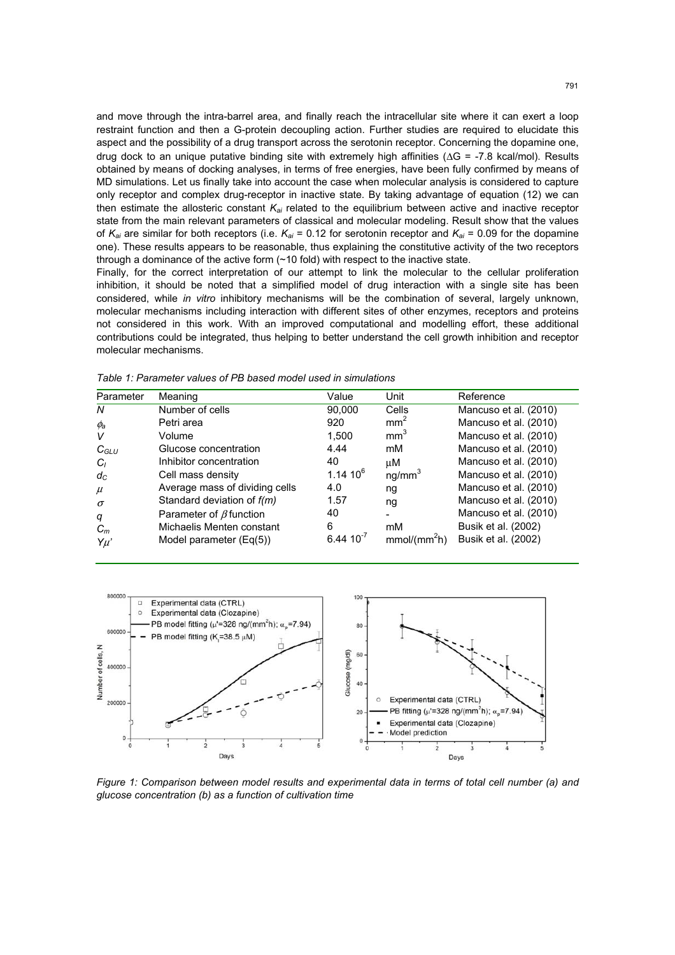and move through the intra-barrel area, and finally reach the intracellular site where it can exert a loop restraint function and then a G-protein decoupling action. Further studies are required to elucidate this aspect and the possibility of a drug transport across the serotonin receptor. Concerning the dopamine one, drug dock to an unique putative binding site with extremely high affinities (ΔG = -7.8 kcal/mol). Results obtained by means of docking analyses, in terms of free energies, have been fully confirmed by means of MD simulations. Let us finally take into account the case when molecular analysis is considered to capture only receptor and complex drug-receptor in inactive state. By taking advantage of equation (12) we can then estimate the allosteric constant *Kai* related to the equilibrium between active and inactive receptor state from the main relevant parameters of classical and molecular modeling. Result show that the values of  $K_{ai}$  are similar for both receptors (i.e.  $K_{ai}$  = 0.12 for serotonin receptor and  $K_{ai}$  = 0.09 for the dopamine one). These results appears to be reasonable, thus explaining the constitutive activity of the two receptors through a dominance of the active form  $(\sim 10 \text{ fold})$  with respect to the inactive state.

Finally, for the correct interpretation of our attempt to link the molecular to the cellular proliferation inhibition, it should be noted that a simplified model of drug interaction with a single site has been considered, while *in vitro* inhibitory mechanisms will be the combination of several, largely unknown, molecular mechanisms including interaction with different sites of other enzymes, receptors and proteins not considered in this work. With an improved computational and modelling effort, these additional contributions could be integrated, thus helping to better understand the cell growth inhibition and receptor molecular mechanisms.

| Parameter      | Meaning                        | Value          | Unit                     | Reference             |
|----------------|--------------------------------|----------------|--------------------------|-----------------------|
| N              | Number of cells                | 90,000         | Cells                    | Mancuso et al. (2010) |
| $\phi_{\rm a}$ | Petri area                     | 920            | mm <sup>2</sup>          | Mancuso et al. (2010) |
| V              | Volume                         | 1.500          | mm <sup>3</sup>          | Mancuso et al. (2010) |
| $C_{GLU}$      | Glucose concentration          | 4.44           | mM                       | Mancuso et al. (2010) |
| $C_I$          | Inhibitor concentration        | 40             | μM                       | Mancuso et al. (2010) |
| $d_{C}$        | Cell mass density              | $1.14~10^{6}$  | ng/mm <sup>3</sup>       | Mancuso et al. (2010) |
| $\mu$          | Average mass of dividing cells | 4.0            | ng                       | Mancuso et al. (2010) |
| $\sigma$       | Standard deviation of $f(m)$   | 1.57           | ng                       | Mancuso et al. (2010) |
| q              | Parameter of $\beta$ function  | 40             |                          | Mancuso et al. (2010) |
| $C_m$          | Michaelis Menten constant      | 6              | mM                       | Busik et al. (2002)   |
| Yu'            | Model parameter $(Eq(5))$      | $6.44 10^{-7}$ | mmol/(mm <sup>2</sup> h) | Busik et al. (2002)   |

*Table 1: Parameter values of PB based model used in simulations* 



*Figure 1: Comparison between model results and experimental data in terms of total cell number (a) and glucose concentration (b) as a function of cultivation time*